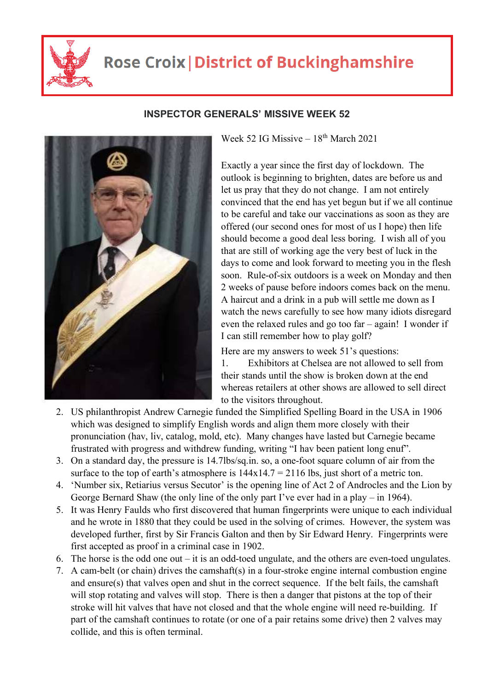

## **Rose Croix | District of Buckinghamshire**



## **INSPECTOR GENERALS' MISSIVE WEEK 52**

Week 52 IG Missive –  $18<sup>th</sup>$  March 2021

Exactly a year since the first day of lockdown. The outlook is beginning to brighten, dates are before us and let us pray that they do not change. I am not entirely convinced that the end has yet begun but if we all continue to be careful and take our vaccinations as soon as they are offered (our second ones for most of us I hope) then life should become a good deal less boring. I wish all of you that are still of working age the very best of luck in the days to come and look forward to meeting you in the flesh soon. Rule-of-six outdoors is a week on Monday and then 2 weeks of pause before indoors comes back on the menu. A haircut and a drink in a pub will settle me down as I watch the news carefully to see how many idiots disregard even the relaxed rules and go too far – again! I wonder if I can still remember how to play golf?

Here are my answers to week 51's questions:

1. Exhibitors at Chelsea are not allowed to sell from their stands until the show is broken down at the end whereas retailers at other shows are allowed to sell direct to the visitors throughout.

- 2. US philanthropist Andrew Carnegie funded the Simplified Spelling Board in the USA in 1906 which was designed to simplify English words and align them more closely with their pronunciation (hav, liv, catalog, mold, etc). Many changes have lasted but Carnegie became frustrated with progress and withdrew funding, writing "I hav been patient long enuf".
- 3. On a standard day, the pressure is 14.7lbs/sq.in. so, a one-foot square column of air from the surface to the top of earth's atmosphere is  $144x14.7 = 2116$  lbs, just short of a metric ton.
- 4. 'Number six, Retiarius versus Secutor' is the opening line of Act 2 of Androcles and the Lion by George Bernard Shaw (the only line of the only part I've ever had in a play – in 1964).
- 5. It was Henry Faulds who first discovered that human fingerprints were unique to each individual and he wrote in 1880 that they could be used in the solving of crimes. However, the system was developed further, first by Sir Francis Galton and then by Sir Edward Henry. Fingerprints were first accepted as proof in a criminal case in 1902.
- 6. The horse is the odd one out it is an odd-toed ungulate, and the others are even-toed ungulates.
- 7. A cam-belt (or chain) drives the camshaft(s) in a four-stroke engine internal combustion engine and ensure(s) that valves open and shut in the correct sequence. If the belt fails, the camshaft will stop rotating and valves will stop. There is then a danger that pistons at the top of their stroke will hit valves that have not closed and that the whole engine will need re-building. If part of the camshaft continues to rotate (or one of a pair retains some drive) then 2 valves may collide, and this is often terminal.